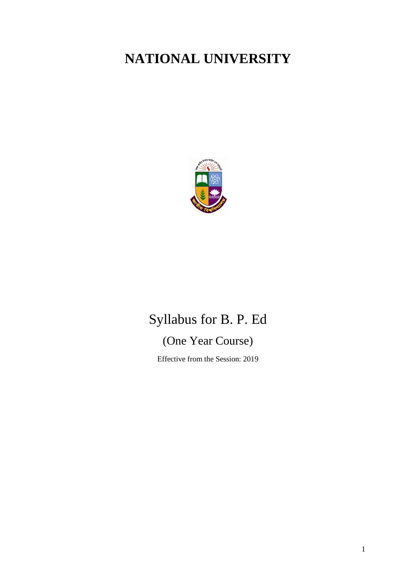# **NATIONAL UNIVERSITY**



# Syllabus for B. P. Ed

# (One Year Course)

Effective from the Session: 2019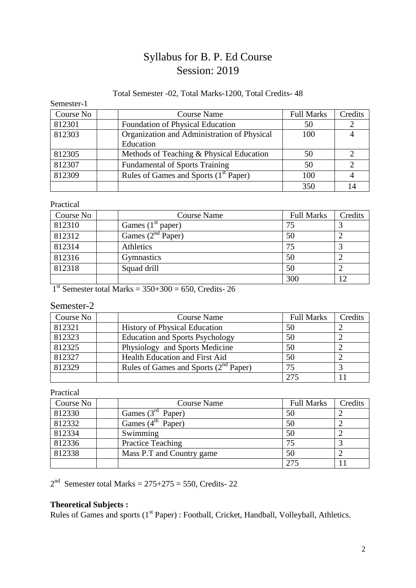## Syllabus for B. P. Ed Course Session: 2019

### Total Semester -02, Total Marks-1200, Total Credits- 48

Semester-1

| Course No | <b>Course Name</b>                                | <b>Full Marks</b> | Credits |
|-----------|---------------------------------------------------|-------------------|---------|
| 812301    | <b>Foundation of Physical Education</b>           | 50                |         |
| 812303    | Organization and Administration of Physical       | 100               |         |
|           | Education                                         |                   |         |
| 812305    | Methods of Teaching & Physical Education          | 50                |         |
| 812307    | <b>Fundamental of Sports Training</b>             | 50                |         |
| 812309    | Rules of Games and Sports (1 <sup>st</sup> Paper) | 100               |         |
|           |                                                   | 350               |         |

### Practical

| Course No | <b>Course Name</b>  | <b>Full Marks</b> | Credits |
|-----------|---------------------|-------------------|---------|
| 812310    | Games $(1st paper)$ | 75                |         |
| 812312    | Games $(2nd Paper)$ | 50                |         |
| 812314    | Athletics           | 75                |         |
| 812316    | Gymnastics          | 50                |         |
| 812318    | Squad drill         | 50                |         |
|           |                     | 300               |         |

 $1<sup>st</sup>$  Semester total Marks = 350+300 = 650, Credits- 26

### Semester-2

| Course No | <b>Course Name</b>                         | <b>Full Marks</b> | Credits |
|-----------|--------------------------------------------|-------------------|---------|
| 812321    | <b>History of Physical Education</b>       | 50                |         |
| 812323    | <b>Education and Sports Psychology</b>     | 50                |         |
| 812325    | Physiology and Sports Medicine             | 50                |         |
| 812327    | Health Education and First Aid             | 50                |         |
| 812329    | Rules of Games and Sports $(2^{nd}$ Paper) | 75                |         |
|           |                                            | 275               |         |

#### Practical

| Course No | <b>Course Name</b>        | <b>Full Marks</b> | Credits |
|-----------|---------------------------|-------------------|---------|
| 812330    | Games $(3rd$ Paper)       | 50                |         |
| 812332    | Games $(4^{th}$ Paper)    | 50                |         |
| 812334    | Swimming                  | 50                |         |
| 812336    | <b>Practice Teaching</b>  | 75                |         |
| 812338    | Mass P.T and Country game | 50                |         |
|           |                           | 275               |         |

 $2<sup>nd</sup>$  Semester total Marks = 275+275 = 550, Credits- 22

### **Theoretical Subjects :**

Rules of Games and sports (1<sup>st</sup> Paper) : Football, Cricket, Handball, Volleyball, Athletics.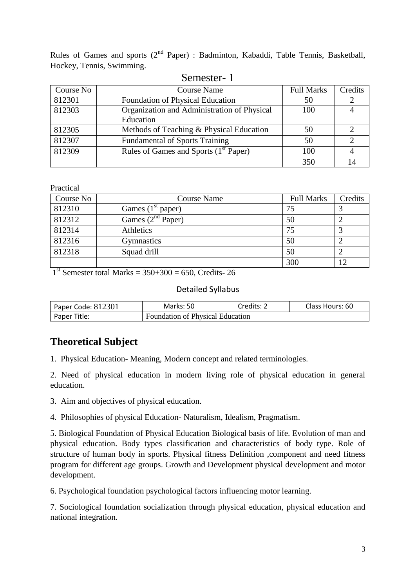Rules of Games and sports (2<sup>nd</sup> Paper) : Badminton, Kabaddi, Table Tennis, Basketball, Hockey, Tennis, Swimming.

| Course No | <b>Course Name</b>                          | <b>Full Marks</b> | Credits |
|-----------|---------------------------------------------|-------------------|---------|
| 812301    | Foundation of Physical Education            | 50                |         |
| 812303    | Organization and Administration of Physical | 100               |         |
|           | Education                                   |                   |         |
| 812305    | Methods of Teaching & Physical Education    | 50                |         |
| 812307    | <b>Fundamental of Sports Training</b>       | 50                |         |
| 812309    | Rules of Games and Sports $(1st Paper)$     | 100               |         |
|           |                                             | 350               |         |

#### Semester- 1

Practical

| Course No | <b>Course Name</b>  | <b>Full Marks</b> | Credits |
|-----------|---------------------|-------------------|---------|
| 812310    | Games $(1st paper)$ | 75                |         |
| 812312    | Games $(2nd Paper)$ | 50                |         |
| 812314    | Athletics           | 75                |         |
| 812316    | Gymnastics          | 50                |         |
| 812318    | Squad drill         | 50                |         |
|           |                     | 300               |         |

 $1<sup>st</sup>$  Semester total Marks = 350+300 = 650, Credits- 26

#### Detailed Syllabus

| Paper Code: 812301 | Marks: 50                               | Credits: 2 | Class Hours: 60 |
|--------------------|-----------------------------------------|------------|-----------------|
| Paper Title:       | <b>Foundation of Physical Education</b> |            |                 |

### **Theoretical Subject**

1. Physical Education- Meaning, Modern concept and related terminologies.

2. Need of physical education in modern living role of physical education in general education.

3. Aim and objectives of physical education.

4. Philosophies of physical Education- Naturalism, Idealism, Pragmatism.

5. Biological Foundation of Physical Education Biological basis of life. Evolution of man and physical education. Body types classification and characteristics of body type. Role of structure of human body in sports. Physical fitness Definition ,component and need fitness program for different age groups. Growth and Development physical development and motor development.

6. Psychological foundation psychological factors influencing motor learning.

7. Sociological foundation socialization through physical education, physical education and national integration.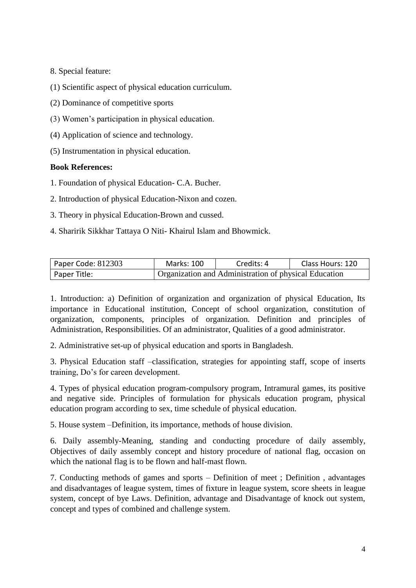8. Special feature:

(1) Scientific aspect of physical education curriculum.

(2) Dominance of competitive sports

- (3) Women's participation in physical education.
- (4) Application of science and technology.
- (5) Instrumentation in physical education.

### **Book References:**

- 1. Foundation of physical Education- C.A. Bucher.
- 2. Introduction of physical Education-Nixon and cozen.
- 3. Theory in physical Education-Brown and cussed.
- 4. Sharirik Sikkhar Tattaya O Niti- Khairul Islam and Bhowmick.

| Paper Code: $812303$ | <b>Marks: 100</b>                                     | Credits: 4 | Class Hours: 120 |
|----------------------|-------------------------------------------------------|------------|------------------|
| Paper Title:         | Organization and Administration of physical Education |            |                  |

1. Introduction: a) Definition of organization and organization of physical Education, Its importance in Educational institution, Concept of school organization, constitution of organization, components, principles of organization. Definition and principles of Administration, Responsibilities. Of an administrator, Qualities of a good administrator.

2. Administrative set-up of physical education and sports in Bangladesh.

3. Physical Education staff –classification, strategies for appointing staff, scope of inserts training, Do's for careen development.

4. Types of physical education program-compulsory program, Intramural games, its positive and negative side. Principles of formulation for physicals education program, physical education program according to sex, time schedule of physical education.

5. House system –Definition, its importance, methods of house division.

6. Daily assembly-Meaning, standing and conducting procedure of daily assembly, Objectives of daily assembly concept and history procedure of national flag, occasion on which the national flag is to be flown and half-mast flown.

7. Conducting methods of games and sports – Definition of meet ; Definition , advantages and disadvantages of league system, times of fixture in league system, score sheets in league system, concept of bye Laws. Definition, advantage and Disadvantage of knock out system, concept and types of combined and challenge system.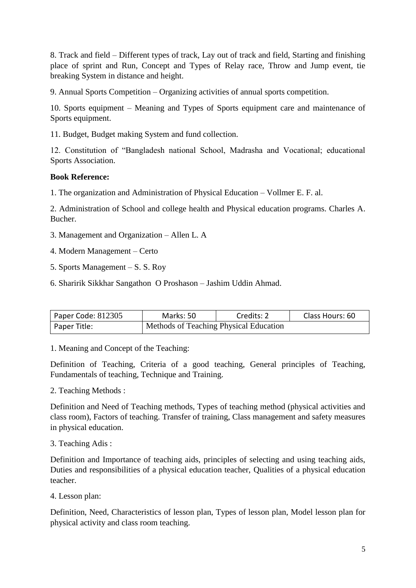8. Track and field – Different types of track, Lay out of track and field, Starting and finishing place of sprint and Run, Concept and Types of Relay race, Throw and Jump event, tie breaking System in distance and height.

9. Annual Sports Competition – Organizing activities of annual sports competition.

10. Sports equipment – Meaning and Types of Sports equipment care and maintenance of Sports equipment.

11. Budget, Budget making System and fund collection.

12. Constitution of "Bangladesh national School, Madrasha and Vocational; educational Sports Association.

### **Book Reference:**

1. The organization and Administration of Physical Education – Vollmer E. F. al.

2. Administration of School and college health and Physical education programs. Charles A. Bucher.

- 3. Management and Organization Allen L. A
- 4. Modern Management Certo
- 5. Sports Management S. S. Roy
- 6. Sharirik Sikkhar Sangathon O Proshason Jashim Uddin Ahmad.

| Paper Code: 812305 | Marks: 50                              | Credits: 2 | Class Hours: 60 |
|--------------------|----------------------------------------|------------|-----------------|
| Paper Title:       | Methods of Teaching Physical Education |            |                 |

1. Meaning and Concept of the Teaching:

Definition of Teaching, Criteria of a good teaching, General principles of Teaching, Fundamentals of teaching, Technique and Training.

2. Teaching Methods :

Definition and Need of Teaching methods, Types of teaching method (physical activities and class room), Factors of teaching. Transfer of training, Class management and safety measures in physical education.

3. Teaching Adis :

Definition and Importance of teaching aids, principles of selecting and using teaching aids, Duties and responsibilities of a physical education teacher, Qualities of a physical education teacher.

4. Lesson plan:

Definition, Need, Characteristics of lesson plan, Types of lesson plan, Model lesson plan for physical activity and class room teaching.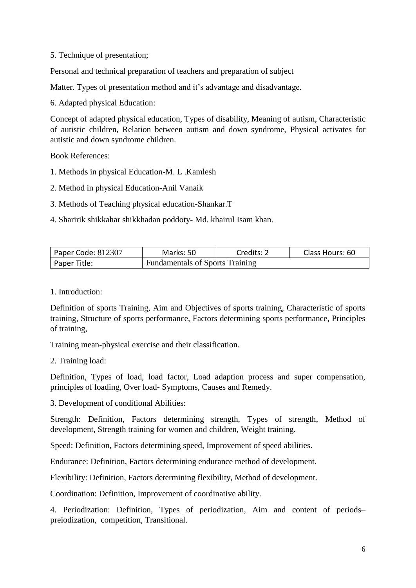5. Technique of presentation;

Personal and technical preparation of teachers and preparation of subject

Matter. Types of presentation method and it's advantage and disadvantage.

6. Adapted physical Education:

Concept of adapted physical education, Types of disability, Meaning of autism, Characteristic of autistic children, Relation between autism and down syndrome, Physical activates for autistic and down syndrome children.

Book References:

- 1. Methods in physical Education-M. L .Kamlesh
- 2. Method in physical Education-Anil Vanaik
- 3. Methods of Teaching physical education-Shankar.T
- 4. Sharirik shikkahar shikkhadan poddoty- Md. khairul Isam khan.

| Paper Code: 812307                                     | Marks: 50 | Credits: 2 | Class Hours: 60 |
|--------------------------------------------------------|-----------|------------|-----------------|
| <b>Fundamentals of Sports Training</b><br>Paper Title: |           |            |                 |

1. Introduction:

Definition of sports Training, Aim and Objectives of sports training, Characteristic of sports training, Structure of sports performance, Factors determining sports performance, Principles of training,

Training mean-physical exercise and their classification.

2. Training load:

Definition, Types of load, load factor, Load adaption process and super compensation, principles of loading, Over load- Symptoms, Causes and Remedy.

3. Development of conditional Abilities:

Strength: Definition, Factors determining strength, Types of strength, Method of development, Strength training for women and children, Weight training.

Speed: Definition, Factors determining speed, Improvement of speed abilities.

Endurance: Definition, Factors determining endurance method of development.

Flexibility: Definition, Factors determining flexibility, Method of development.

Coordination: Definition, Improvement of coordinative ability.

4. Periodization: Definition, Types of periodization, Aim and content of periods– preiodization, competition, Transitional.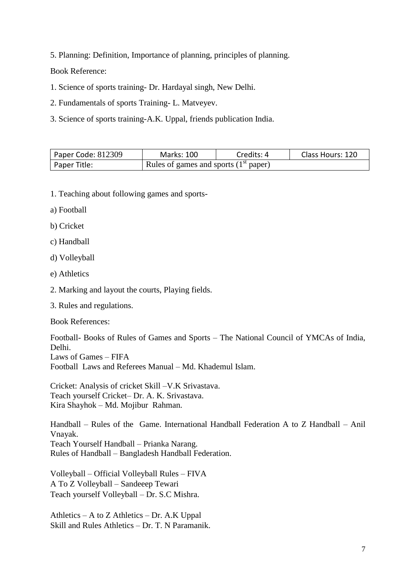5. Planning: Definition, Importance of planning, principles of planning.

Book Reference:

- 1. Science of sports training- Dr. Hardayal singh, New Delhi.
- 2. Fundamentals of sports Training- L. Matveyev.
- 3. Science of sports training-A.K. Uppal, friends publication India.

| Paper Code: 812309 | <b>Marks: 100</b>                       | Credits: 4 | Class Hours: 120 |
|--------------------|-----------------------------------------|------------|------------------|
| Paper Title:       | Rules of games and sports $(1st paper)$ |            |                  |

- 1. Teaching about following games and sports-
- a) Football
- b) Cricket
- c) Handball
- d) Volleyball
- e) Athletics
- 2. Marking and layout the courts, Playing fields.
- 3. Rules and regulations.

Book References:

Football- Books of Rules of Games and Sports – The National Council of YMCAs of India, Delhi. Laws of Games – FIFA Football Laws and Referees Manual – Md. Khademul Islam.

Cricket: Analysis of cricket Skill –V.K Srivastava. Teach yourself Cricket– Dr. A. K. Srivastava. Kira Shayhok – Md. Mojibur Rahman.

Handball – Rules of the Game. International Handball Federation A to Z Handball – Anil Vnayak. Teach Yourself Handball – Prianka Narang. Rules of Handball – Bangladesh Handball Federation.

Volleyball – Official Volleyball Rules – FIVA A To Z Volleyball – Sandeeep Tewari Teach yourself Volleyball – Dr. S.C Mishra.

Athletics – A to Z Athletics – Dr. A.K Uppal Skill and Rules Athletics – Dr. T. N Paramanik.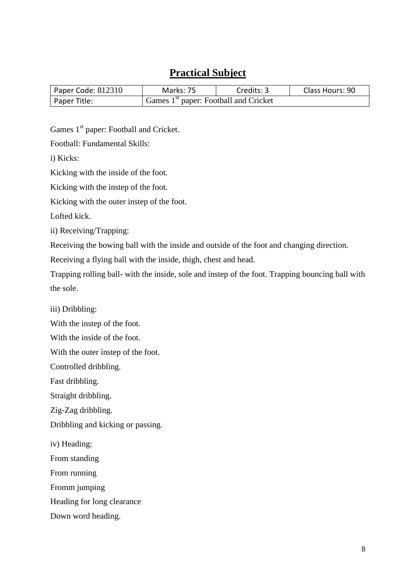### **Practical Subject**

| Paper Code: $812310$ | Marks: 75                                         | Credits: 3 | Class Hours: 90 |
|----------------------|---------------------------------------------------|------------|-----------------|
| Paper Title:         | Games 1 <sup>st</sup> paper: Football and Cricket |            |                 |

Games 1<sup>st</sup> paper: Football and Cricket.

Football: Fundamental Skills:

i) Kicks:

Kicking with the inside of the foot.

Kicking with the instep of the foot.

Kicking with the outer instep of the foot.

Lofted kick.

ii) Receiving/Trapping:

Receiving the bowing ball with the inside and outside of the foot and changing direction.

Receiving a flying ball with the inside, thigh, chest and head.

Trapping rolling ball- with the inside, sole and instep of the foot. Trapping bouncing ball with the sole.

iii) Dribbling:

With the instep of the foot.

With the inside of the foot.

With the outer instep of the foot.

Controlled dribbling.

Fast dribbling.

Straight dribbling.

Zig-Zag dribbling.

Dribbling and kicking or passing.

iv) Heading:

From standing

From running

Fromm jumping

Heading for long clearance

Down word heading.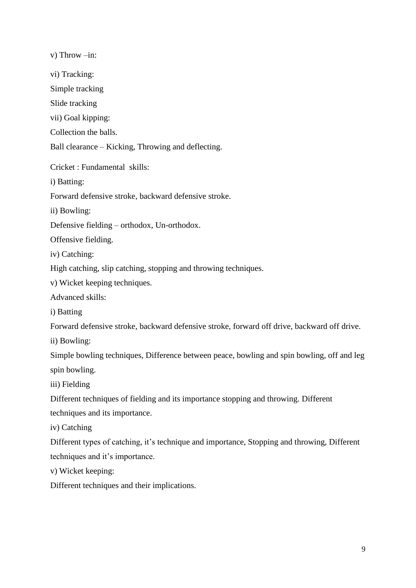v) Throw –in: vi) Tracking: Simple tracking Slide tracking vii) Goal kipping: Collection the balls. Ball clearance – Kicking, Throwing and deflecting. Cricket : Fundamental skills: i) Batting: Forward defensive stroke, backward defensive stroke. ii) Bowling: Defensive fielding – orthodox, Un-orthodox. Offensive fielding. iv) Catching: High catching, slip catching, stopping and throwing techniques. v) Wicket keeping techniques. Advanced skills: i) Batting Forward defensive stroke, backward defensive stroke, forward off drive, backward off drive. ii) Bowling: Simple bowling techniques, Difference between peace, bowling and spin bowling, off and leg spin bowling. iii) Fielding Different techniques of fielding and its importance stopping and throwing. Different techniques and its importance. iv) Catching Different types of catching, it's technique and importance, Stopping and throwing, Different techniques and it's importance. v) Wicket keeping: Different techniques and their implications.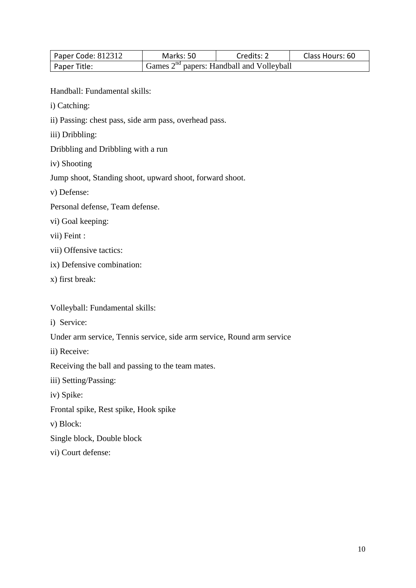| Paper Code: 812312 | Marks: 50 | Credits: 2                                  | Class Hours: 60 |
|--------------------|-----------|---------------------------------------------|-----------------|
| Paper Title:       |           | Games $2nd$ papers: Handball and Volleyball |                 |

Handball: Fundamental skills:

- i) Catching:
- ii) Passing: chest pass, side arm pass, overhead pass.
- iii) Dribbling:
- Dribbling and Dribbling with a run
- iv) Shooting

Jump shoot, Standing shoot, upward shoot, forward shoot.

- v) Defense:
- Personal defense, Team defense.
- vi) Goal keeping:

vii) Feint :

- vii) Offensive tactics:
- ix) Defensive combination:
- x) first break:

Volleyball: Fundamental skills:

i) Service:

Under arm service, Tennis service, side arm service, Round arm service

ii) Receive:

Receiving the ball and passing to the team mates.

iii) Setting/Passing:

iv) Spike:

Frontal spike, Rest spike, Hook spike

v) Block:

Single block, Double block

vi) Court defense: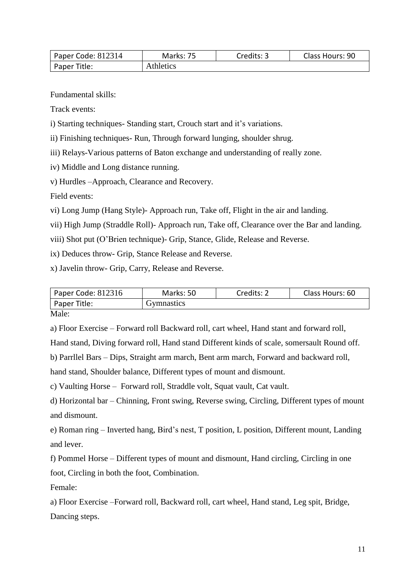| Paper Code: 812314 | Marks: 75 | Credits: 3 | Class Hours: 90 |
|--------------------|-----------|------------|-----------------|
| Paper Title:       | Athletics |            |                 |

Fundamental skills:

Track events:

i) Starting techniques- Standing start, Crouch start and it's variations.

ii) Finishing techniques- Run, Through forward lunging, shoulder shrug.

iii) Relays-Various patterns of Baton exchange and understanding of really zone.

iv) Middle and Long distance running.

v) Hurdles –Approach, Clearance and Recovery.

Field events:

vi) Long Jump (Hang Style)- Approach run, Take off, Flight in the air and landing.

vii) High Jump (Straddle Roll)- Approach run, Take off, Clearance over the Bar and landing.

viii) Shot put (O'Brien technique)- Grip, Stance, Glide, Release and Reverse.

ix) Deduces throw- Grip, Stance Release and Reverse.

x) Javelin throw- Grip, Carry, Release and Reverse.

| Paper Code: 812316   | Marks: 50  | Credits: 2 | Class Hours: 60 |
|----------------------|------------|------------|-----------------|
| Paper Title:         | Gymnastics |            |                 |
| $\sim$ $\sim$ $\sim$ |            |            |                 |

Male:

a) Floor Exercise – Forward roll Backward roll, cart wheel, Hand stant and forward roll,

Hand stand, Diving forward roll, Hand stand Different kinds of scale, somersault Round off.

b) Parrllel Bars – Dips, Straight arm march, Bent arm march, Forward and backward roll,

hand stand, Shoulder balance, Different types of mount and dismount.

c) Vaulting Horse – Forward roll, Straddle volt, Squat vault, Cat vault.

d) Horizontal bar – Chinning, Front swing, Reverse swing, Circling, Different types of mount and dismount.

e) Roman ring – Inverted hang, Bird's nest, T position, L position, Different mount, Landing and lever.

f) Pommel Horse – Different types of mount and dismount, Hand circling, Circling in one foot, Circling in both the foot, Combination.

Female:

a) Floor Exercise –Forward roll, Backward roll, cart wheel, Hand stand, Leg spit, Bridge, Dancing steps.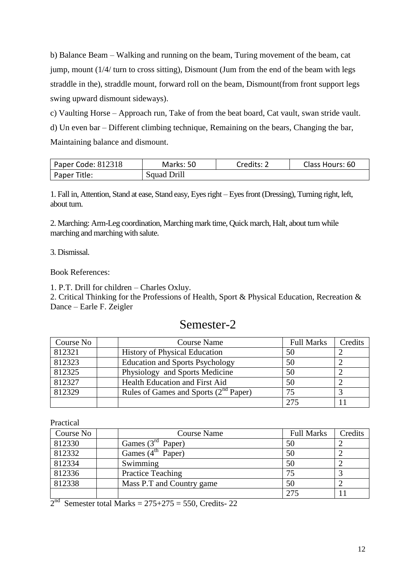b) Balance Beam – Walking and running on the beam, Turing movement of the beam, cat jump, mount (1/4/ turn to cross sitting), Dismount (Jum from the end of the beam with legs straddle in the), straddle mount, forward roll on the beam, Dismount(from front support legs swing upward dismount sideways).

c) Vaulting Horse – Approach run, Take of from the beat board, Cat vault, swan stride vault. d) Un even bar – Different climbing technique, Remaining on the bears, Changing the bar, Maintaining balance and dismount.

| Paper Code: 812318 | Marks: 50   | Credits: 2 | Class Hours: 60 |
|--------------------|-------------|------------|-----------------|
| Paper Title:       | Squad Drill |            |                 |

1. Fall in, Attention, Stand at ease, Stand easy, Eyes right – Eyes front (Dressing), Turning right, left, about turn.

2. Marching: Arm-Leg coordination, Marching mark time, Quick march, Halt, about turn while marching and marching with salute.

3. Dismissal.

Book References:

1. P.T. Drill for children – Charles Oxluy.

2. Critical Thinking for the Professions of Health, Sport & Physical Education, Recreation & Dance – Earle F. Zeigler

### Semester-2

| Course No | <b>Course Name</b>                         | <b>Full Marks</b> | Credits |
|-----------|--------------------------------------------|-------------------|---------|
| 812321    | <b>History of Physical Education</b>       | 50                |         |
| 812323    | <b>Education and Sports Psychology</b>     | 50                |         |
| 812325    | Physiology and Sports Medicine             | 50                |         |
| 812327    | Health Education and First Aid             | 50                |         |
| 812329    | Rules of Games and Sports $(2^{nd}$ Paper) | 75                |         |
|           |                                            | 275               |         |

Practical

| Course No | <b>Course Name</b>        | <b>Full Marks</b> | Credits |
|-----------|---------------------------|-------------------|---------|
| 812330    | Games $(3rd$ Paper)       | 50                |         |
| 812332    | Games $(4th$ Paper)       | 50                |         |
| 812334    | Swimming                  | 50                |         |
| 812336    | <b>Practice Teaching</b>  | 75                |         |
| 812338    | Mass P.T and Country game | 50                |         |
|           |                           | 275               |         |

 $2<sup>nd</sup>$  Semester total Marks = 275+275 = 550, Credits- 22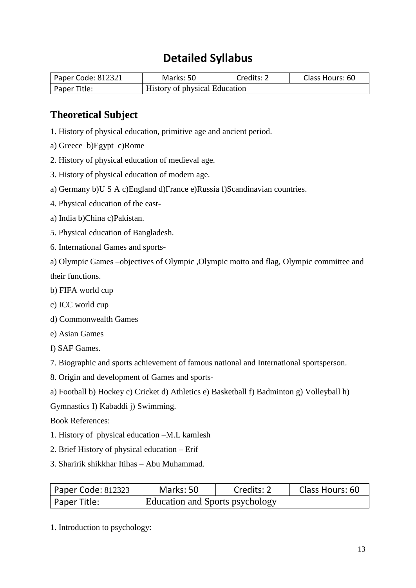## **Detailed Syllabus**

| Paper Code: 812321 | Marks: 50                            | Credits: 2 | Class Hours: 60 |
|--------------------|--------------------------------------|------------|-----------------|
| Paper Title:       | <b>History of physical Education</b> |            |                 |

### **Theoretical Subject**

- 1. History of physical education, primitive age and ancient period.
- a) Greece b)Egypt c)Rome
- 2. History of physical education of medieval age.
- 3. History of physical education of modern age.
- a) Germany b)U S A c)England d)France e)Russia f)Scandinavian countries.
- 4. Physical education of the east-
- a) India b)China c)Pakistan.
- 5. Physical education of Bangladesh.
- 6. International Games and sports-

a) Olympic Games –objectives of Olympic ,Olympic motto and flag, Olympic committee and their functions.

- b) FIFA world cup
- c) ICC world cup
- d) Commonwealth Games
- e) Asian Games
- f) SAF Games.
- 7. Biographic and sports achievement of famous national and International sportsperson.
- 8. Origin and development of Games and sports-
- a) Football b) Hockey c) Cricket d) Athletics e) Basketball f) Badminton g) Volleyball h)
- Gymnastics I) Kabaddi j) Swimming.
- Book References:
- 1. History of physical education –M.L kamlesh
- 2. Brief History of physical education Erif
- 3. Sharirik shikkhar Itihas Abu Muhammad.

| Paper Code: 812323 | Marks: 50                              | Credits: 2 | Class Hours: 60 |
|--------------------|----------------------------------------|------------|-----------------|
| l Paper Title:     | <b>Education and Sports psychology</b> |            |                 |

1. Introduction to psychology: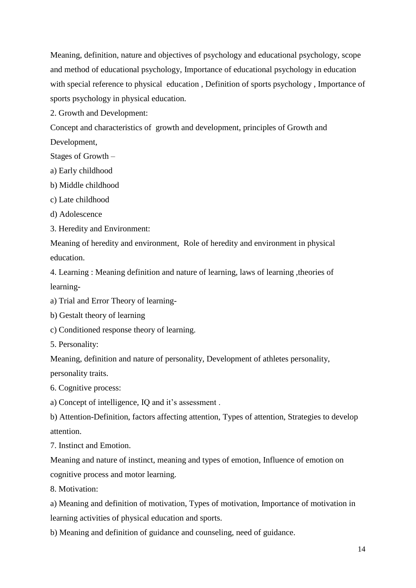Meaning, definition, nature and objectives of psychology and educational psychology, scope and method of educational psychology, Importance of educational psychology in education with special reference to physical education , Definition of sports psychology , Importance of sports psychology in physical education.

2. Growth and Development:

Concept and characteristics of growth and development, principles of Growth and Development,

Stages of Growth –

- a) Early childhood
- b) Middle childhood
- c) Late childhood
- d) Adolescence
- 3. Heredity and Environment:

Meaning of heredity and environment, Role of heredity and environment in physical education.

4. Learning : Meaning definition and nature of learning, laws of learning ,theories of learning-

a) Trial and Error Theory of learning-

b) Gestalt theory of learning

- c) Conditioned response theory of learning.
- 5. Personality:

Meaning, definition and nature of personality, Development of athletes personality, personality traits.

6. Cognitive process:

a) Concept of intelligence, IQ and it's assessment .

b) Attention-Definition, factors affecting attention, Types of attention, Strategies to develop attention.

7. Instinct and Emotion.

Meaning and nature of instinct, meaning and types of emotion, Influence of emotion on cognitive process and motor learning.

8. Motivation:

a) Meaning and definition of motivation, Types of motivation, Importance of motivation in learning activities of physical education and sports.

b) Meaning and definition of guidance and counseling, need of guidance.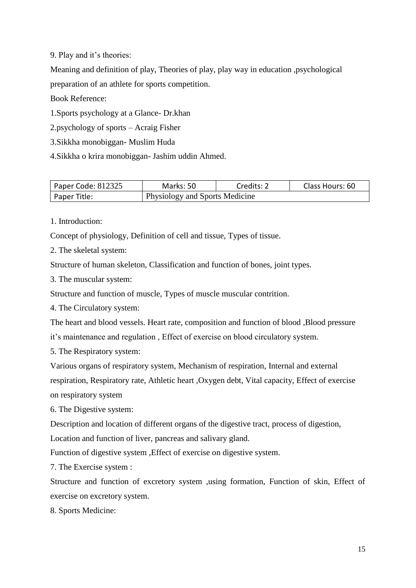9. Play and it's theories:

Meaning and definition of play, Theories of play, play way in education ,psychological preparation of an athlete for sports competition.

Book Reference:

1.Sports psychology at a Glance- Dr.khan

2.psychology of sports – Acraig Fisher

3.Sikkha monobiggan- Muslim Huda

4.Sikkha o krira monobiggan- Jashim uddin Ahmed.

| Paper Code: 812325 | Marks: 50                             | Credits: 2 | Class Hours: 60 |
|--------------------|---------------------------------------|------------|-----------------|
| Paper Title:       | <b>Physiology and Sports Medicine</b> |            |                 |

1. Introduction:

Concept of physiology, Definition of cell and tissue, Types of tissue.

2. The skeletal system:

Structure of human skeleton, Classification and function of bones, joint types.

3. The muscular system:

Structure and function of muscle, Types of muscle muscular contrition.

4. The Circulatory system:

The heart and blood vessels. Heart rate, composition and function of blood ,Blood pressure

it's maintenance and regulation , Effect of exercise on blood circulatory system.

5. The Respiratory system:

Various organs of respiratory system, Mechanism of respiration, Internal and external respiration, Respiratory rate, Athletic heart ,Oxygen debt, Vital capacity, Effect of exercise

on respiratory system

6. The Digestive system:

Description and location of different organs of the digestive tract, process of digestion,

Location and function of liver, pancreas and salivary gland.

Function of digestive system ,Effect of exercise on digestive system.

7. The Exercise system :

Structure and function of excretory system ,using formation, Function of skin, Effect of exercise on excretory system.

8. Sports Medicine: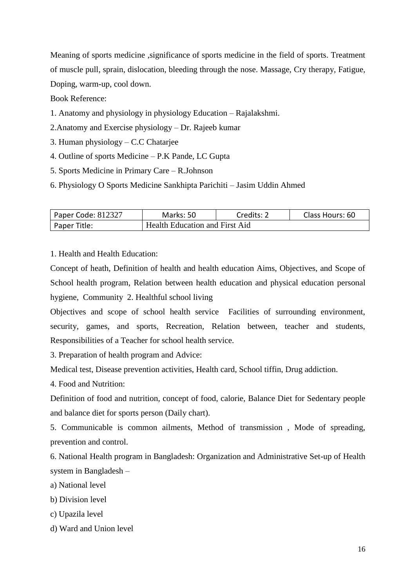Meaning of sports medicine ,significance of sports medicine in the field of sports. Treatment of muscle pull, sprain, dislocation, bleeding through the nose. Massage, Cry therapy, Fatigue, Doping, warm-up, cool down.

Book Reference:

- 1. Anatomy and physiology in physiology Education Rajalakshmi.
- 2.Anatomy and Exercise physiology Dr. Rajeeb kumar
- 3. Human physiology C.C Chatarjee
- 4. Outline of sports Medicine P.K Pande, LC Gupta
- 5. Sports Medicine in Primary Care R.Johnson
- 6. Physiology O Sports Medicine Sankhipta Parichiti Jasim Uddin Ahmed

| Paper Code: 812327 | Marks: 50                             | Credits: 2 | Class Hours: 60 |
|--------------------|---------------------------------------|------------|-----------------|
| Paper Title:       | <b>Health Education and First Aid</b> |            |                 |

1. Health and Health Education:

Concept of heath, Definition of health and health education Aims, Objectives, and Scope of School health program, Relation between health education and physical education personal hygiene, Community 2. Healthful school living

Objectives and scope of school health service Facilities of surrounding environment, security, games, and sports, Recreation, Relation between, teacher and students, Responsibilities of a Teacher for school health service.

3. Preparation of health program and Advice:

Medical test, Disease prevention activities, Health card, School tiffin, Drug addiction.

4. Food and Nutrition:

Definition of food and nutrition, concept of food, calorie, Balance Diet for Sedentary people and balance diet for sports person (Daily chart).

5. Communicable is common ailments, Method of transmission , Mode of spreading, prevention and control.

6. National Health program in Bangladesh: Organization and Administrative Set-up of Health system in Bangladesh –

a) National level

b) Division level

c) Upazila level

d) Ward and Union level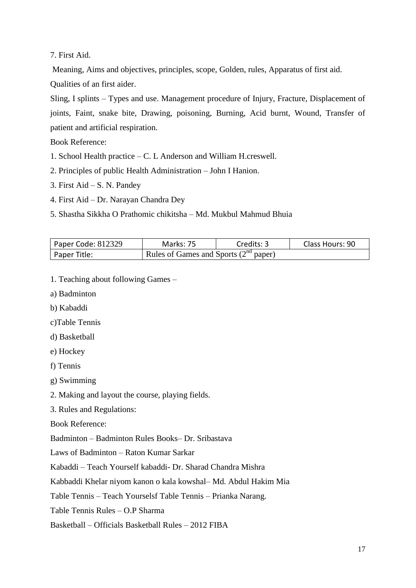7. First Aid.

Meaning, Aims and objectives, principles, scope, Golden, rules, Apparatus of first aid.

Qualities of an first aider.

Sling, I splints – Types and use. Management procedure of Injury, Fracture, Displacement of joints, Faint, snake bite, Drawing, poisoning, Burning, Acid burnt, Wound, Transfer of patient and artificial respiration.

Book Reference:

- 1. School Health practice C. L Anderson and William H.creswell.
- 2. Principles of public Health Administration John I Hanion.
- 3. First Aid S. N. Pandey
- 4. First Aid Dr. Narayan Chandra Dey
- 5. Shastha Sikkha O Prathomic chikitsha Md. Mukbul Mahmud Bhuia

| Paper Code: 812329 | Marks: 75                                  | Credits: 3 | Class Hours: 90 |
|--------------------|--------------------------------------------|------------|-----------------|
| Paper Title:       | Rules of Games and Sports $(2^{nd}$ paper) |            |                 |

- 1. Teaching about following Games –
- a) Badminton
- b) Kabaddi
- c)Table Tennis
- d) Basketball
- e) Hockey

f) Tennis

g) Swimming

2. Making and layout the course, playing fields.

3. Rules and Regulations:

Book Reference:

Badminton – Badminton Rules Books– Dr. Sribastava

Laws of Badminton – Raton Kumar Sarkar

Kabaddi – Teach Yourself kabaddi- Dr. Sharad Chandra Mishra

Kabbaddi Khelar niyom kanon o kala kowshal– Md. Abdul Hakim Mia

Table Tennis – Teach Yourselsf Table Tennis – Prianka Narang.

Table Tennis Rules – O.P Sharma

Basketball – Officials Basketball Rules – 2012 FIBA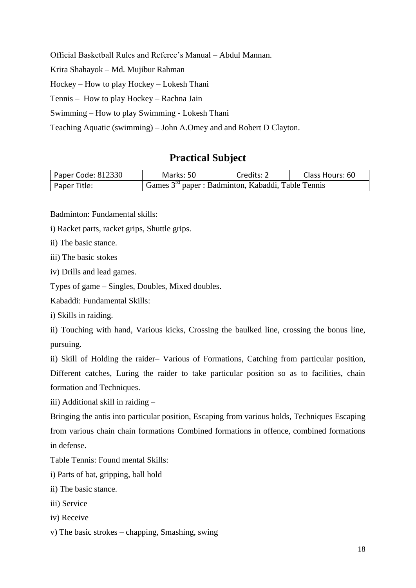Official Basketball Rules and Referee's Manual – Abdul Mannan.

Krira Shahayok – Md. Mujibur Rahman

Hockey – How to play Hockey – Lokesh Thani

Tennis – How to play Hockey – Rachna Jain

Swimming – How to play Swimming - Lokesh Thani

Teaching Aquatic (swimming) – John A.Omey and and Robert D Clayton.

### **Practical Subject**

| Paper Code: 812330 | Marks: 50                                               | Credits: 2 | Class Hours: 60 |
|--------------------|---------------------------------------------------------|------------|-----------------|
| Paper Title:       | Games $3^{rd}$ paper : Badminton, Kabaddi, Table Tennis |            |                 |

Badminton: Fundamental skills:

i) Racket parts, racket grips, Shuttle grips.

ii) The basic stance.

iii) The basic stokes

iv) Drills and lead games.

Types of game – Singles, Doubles, Mixed doubles.

Kabaddi: Fundamental Skills:

i) Skills in raiding.

ii) Touching with hand, Various kicks, Crossing the baulked line, crossing the bonus line, pursuing.

ii) Skill of Holding the raider– Various of Formations, Catching from particular position, Different catches, Luring the raider to take particular position so as to facilities, chain formation and Techniques.

iii) Additional skill in raiding –

Bringing the antis into particular position, Escaping from various holds, Techniques Escaping from various chain chain formations Combined formations in offence, combined formations in defense.

Table Tennis: Found mental Skills:

i) Parts of bat, gripping, ball hold

ii) The basic stance.

- iii) Service
- iv) Receive
- v) The basic strokes chapping, Smashing, swing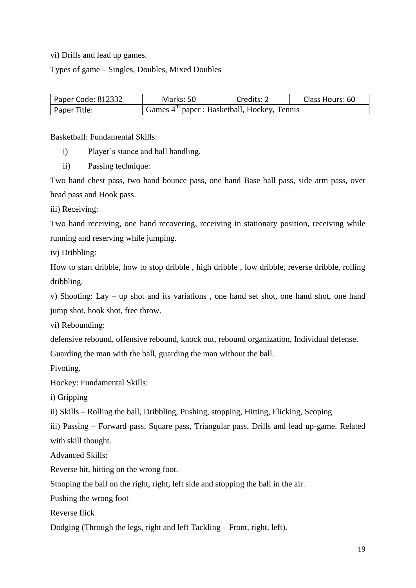vi) Drills and lead up games.

Types of game – Singles, Doubles, Mixed Doubles

| Paper Code: 812332 | Marks: 50                                              | Credits: 2 | Class Hours: 60 |
|--------------------|--------------------------------------------------------|------------|-----------------|
| Paper Title:       | $\vert$ Games $4th$ paper : Basketball, Hockey, Tennis |            |                 |

Basketball: Fundamental Skills:

- i) Player's stance and ball handling.
- ii) Passing technique:

Two hand chest pass, two hand bounce pass, one hand Base ball pass, side arm pass, over head pass and Hook pass.

iii) Receiving:

Two hand receiving, one hand recovering, receiving in stationary position, receiving while running and reserving while jumping.

iv) Dribbling:

How to start dribble, how to stop dribble , high dribble , low dribble, reverse dribble, rolling dribbling.

v) Shooting: Lay – up shot and its variations , one hand set shot, one hand shot, one hand jump shot, hook shot, free throw.

vi) Rebounding:

defensive rebound, offensive rebound, knock out, rebound organization, Individual defense.

Guarding the man with the ball, guarding the man without the ball.

Pivoting.

Hockey: Fundamental Skills:

i) Gripping

ii) Skills – Rolling the ball, Dribbling, Pushing, stopping, Hitting, Flicking, Scoping.

iii) Passing – Forward pass, Square pass, Triangular pass, Drills and lead up-game. Related with skill thought.

Advanced Skills:

Reverse hit, hitting on the wrong foot.

Stooping the ball on the right, right, left side and stopping the ball in the air.

Pushing the wrong foot

Reverse flick

Dodging (Through the legs, right and left Tackling – Front, right, left).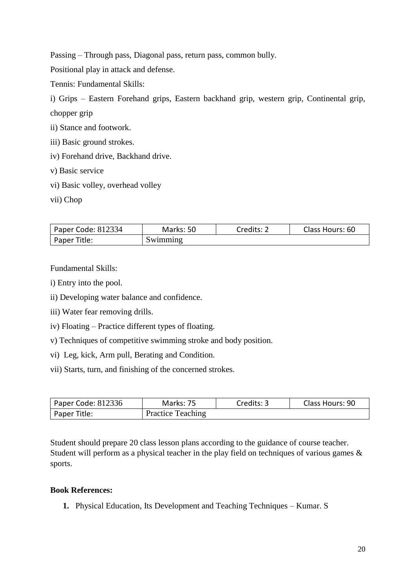Passing – Through pass, Diagonal pass, return pass, common bully.

Positional play in attack and defense.

Tennis: Fundamental Skills:

i) Grips – Eastern Forehand grips, Eastern backhand grip, western grip, Continental grip,

chopper grip

- ii) Stance and footwork.
- iii) Basic ground strokes.
- iv) Forehand drive, Backhand drive.
- v) Basic service
- vi) Basic volley, overhead volley
- vii) Chop

| Paper Code: 812334 | Marks: 50 | Credits: 2 | Class Hours: 60 |
|--------------------|-----------|------------|-----------------|
| Paper Title:       | Swimming  |            |                 |

Fundamental Skills:

- i) Entry into the pool.
- ii) Developing water balance and confidence.
- iii) Water fear removing drills.
- iv) Floating Practice different types of floating.
- v) Techniques of competitive swimming stroke and body position.
- vi) Leg, kick, Arm pull, Berating and Condition.
- vii) Starts, turn, and finishing of the concerned strokes.

| Paper Code: 812336 | Marks: 75                | Credits: 3 | Class Hours: 90 |
|--------------------|--------------------------|------------|-----------------|
| Paper Title:       | <b>Practice Teaching</b> |            |                 |

Student should prepare 20 class lesson plans according to the guidance of course teacher. Student will perform as a physical teacher in the play field on techniques of various games & sports.

#### **Book References:**

**1.** Physical Education, Its Development and Teaching Techniques – Kumar. S